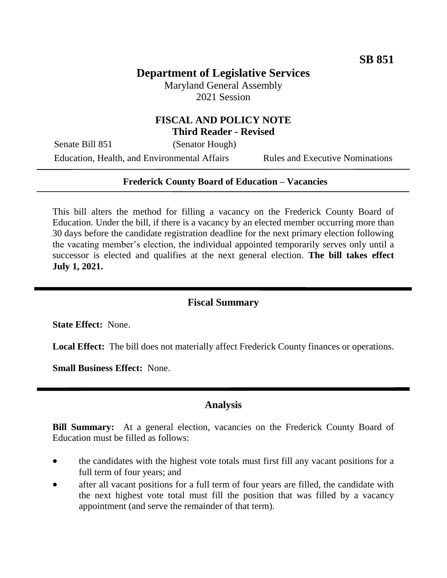## **Department of Legislative Services**

Maryland General Assembly 2021 Session

### **FISCAL AND POLICY NOTE Third Reader - Revised**

Senate Bill 851 (Senator Hough)

Education, Health, and Environmental Affairs Rules and Executive Nominations

#### **Frederick County Board of Education – Vacancies**

This bill alters the method for filling a vacancy on the Frederick County Board of Education. Under the bill, if there is a vacancy by an elected member occurring more than 30 days before the candidate registration deadline for the next primary election following the vacating member's election, the individual appointed temporarily serves only until a successor is elected and qualifies at the next general election. **The bill takes effect July 1, 2021.**

### **Fiscal Summary**

**State Effect:** None.

**Local Effect:** The bill does not materially affect Frederick County finances or operations.

**Small Business Effect:** None.

#### **Analysis**

**Bill Summary:** At a general election, vacancies on the Frederick County Board of Education must be filled as follows:

- the candidates with the highest vote totals must first fill any vacant positions for a full term of four years; and
- after all vacant positions for a full term of four years are filled, the candidate with the next highest vote total must fill the position that was filled by a vacancy appointment (and serve the remainder of that term).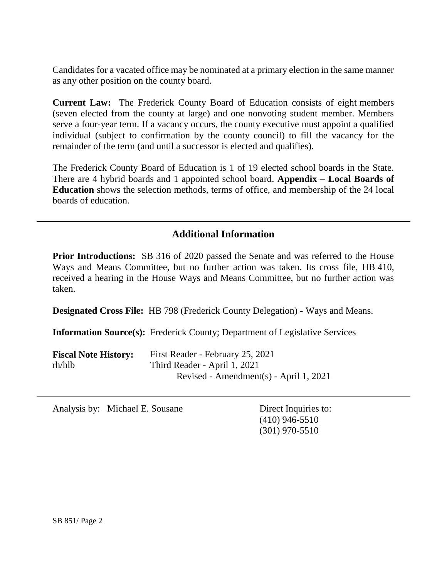Candidates for a vacated office may be nominated at a primary election in the same manner as any other position on the county board.

**Current Law:** The Frederick County Board of Education consists of eight members (seven elected from the county at large) and one nonvoting student member. Members serve a four-year term. If a vacancy occurs, the county executive must appoint a qualified individual (subject to confirmation by the county council) to fill the vacancy for the remainder of the term (and until a successor is elected and qualifies).

The Frederick County Board of Education is 1 of 19 elected school boards in the State. There are 4 hybrid boards and 1 appointed school board. **Appendix – Local Boards of Education** shows the selection methods, terms of office, and membership of the 24 local boards of education.

## **Additional Information**

**Prior Introductions:** SB 316 of 2020 passed the Senate and was referred to the House Ways and Means Committee, but no further action was taken. Its cross file, HB 410, received a hearing in the House Ways and Means Committee, but no further action was taken.

**Designated Cross File:** HB 798 (Frederick County Delegation) - Ways and Means.

**Information Source(s):** Frederick County; Department of Legislative Services

| <b>Fiscal Note History:</b> | First Reader - February 25, 2021       |
|-----------------------------|----------------------------------------|
| rh/hlb                      | Third Reader - April 1, 2021           |
|                             | Revised - Amendment(s) - April 1, 2021 |

Analysis by: Michael E. Sousane Direct Inquiries to:

(410) 946-5510 (301) 970-5510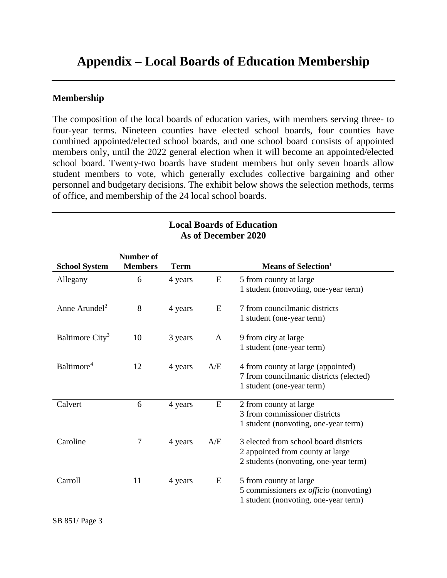# **Appendix – Local Boards of Education Membership**

#### **Membership**

The composition of the local boards of education varies, with members serving three- to four-year terms. Nineteen counties have elected school boards, four counties have combined appointed/elected school boards, and one school board consists of appointed members only, until the 2022 general election when it will become an appointed/elected school board. Twenty-two boards have student members but only seven boards allow student members to vote, which generally excludes collective bargaining and other personnel and budgetary decisions. The exhibit below shows the selection methods, terms of office, and membership of the 24 local school boards.

| <b>School System</b>        | <b>Number of</b><br><b>Members</b> | <b>Term</b> |     | <b>Means of Selection</b> <sup>1</sup>                                                                             |
|-----------------------------|------------------------------------|-------------|-----|--------------------------------------------------------------------------------------------------------------------|
| Allegany                    | 6                                  | 4 years     | E   | 5 from county at large<br>1 student (nonvoting, one-year term)                                                     |
| Anne Arundel <sup>2</sup>   | 8                                  | 4 years     | E   | 7 from councilmanic districts<br>1 student (one-year term)                                                         |
| Baltimore City <sup>3</sup> | 10                                 | 3 years     | A   | 9 from city at large<br>1 student (one-year term)                                                                  |
| Baltimore <sup>4</sup>      | 12                                 | 4 years     | A/E | 4 from county at large (appointed)<br>7 from councilmanic districts (elected)<br>1 student (one-year term)         |
| Calvert                     | 6                                  | 4 years     | E   | 2 from county at large<br>3 from commissioner districts<br>1 student (nonvoting, one-year term)                    |
| Caroline                    | 7                                  | 4 years     | A/E | 3 elected from school board districts<br>2 appointed from county at large<br>2 students (nonvoting, one-year term) |
| Carroll                     | 11                                 | 4 years     | E   | 5 from county at large<br>5 commissioners ex officio (nonvoting)<br>1 student (nonvoting, one-year term)           |

#### **Local Boards of Education As of December 2020**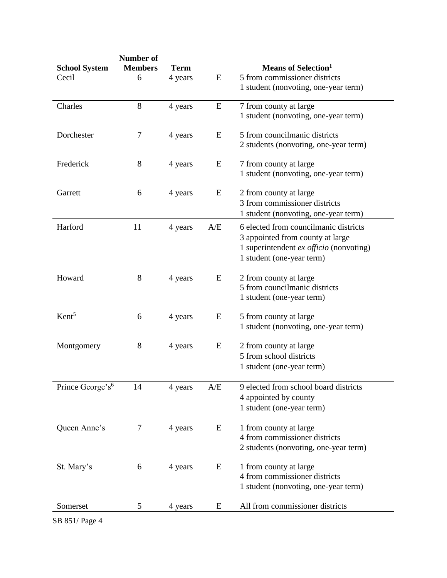|                              | Number of      |             |     |                                         |
|------------------------------|----------------|-------------|-----|-----------------------------------------|
| <b>School System</b>         | <b>Members</b> | <b>Term</b> |     | <b>Means of Selection</b> <sup>1</sup>  |
| Cecil                        | 6              | 4 years     | E   | 5 from commissioner districts           |
|                              |                |             |     | 1 student (nonvoting, one-year term)    |
| Charles                      | 8              | 4 years     | E   | 7 from county at large                  |
|                              |                |             |     | 1 student (nonvoting, one-year term)    |
| Dorchester                   | 7              | 4 years     | E   | 5 from councilmanic districts           |
|                              |                |             |     | 2 students (nonvoting, one-year term)   |
| Frederick                    | 8              | 4 years     | E   | 7 from county at large                  |
|                              |                |             |     | 1 student (nonvoting, one-year term)    |
| Garrett                      | 6              | 4 years     | E   | 2 from county at large                  |
|                              |                |             |     | 3 from commissioner districts           |
|                              |                |             |     | 1 student (nonvoting, one-year term)    |
| Harford                      | 11             | 4 years     | A/E | 6 elected from councilmanic districts   |
|                              |                |             |     | 3 appointed from county at large        |
|                              |                |             |     | 1 superintendent ex officio (nonvoting) |
|                              |                |             |     | 1 student (one-year term)               |
| Howard                       | 8              | 4 years     | E   | 2 from county at large                  |
|                              |                |             |     | 5 from councilmanic districts           |
|                              |                |             |     | 1 student (one-year term)               |
| Kent <sup>5</sup>            | 6              | 4 years     | E   | 5 from county at large                  |
|                              |                |             |     | 1 student (nonvoting, one-year term)    |
| Montgomery                   | 8              | 4 years     | E   | 2 from county at large                  |
|                              |                |             |     | 5 from school districts                 |
|                              |                |             |     | 1 student (one-year term)               |
| Prince George's <sup>6</sup> | 14             | 4 years     | A/E | 9 elected from school board districts   |
|                              |                |             |     | 4 appointed by county                   |
|                              |                |             |     | 1 student (one-year term)               |
| Queen Anne's                 | 7              | 4 years     | E   | 1 from county at large                  |
|                              |                |             |     | 4 from commissioner districts           |
|                              |                |             |     | 2 students (nonvoting, one-year term)   |
| St. Mary's                   | 6              | 4 years     | E   | 1 from county at large                  |
|                              |                |             |     | 4 from commissioner districts           |
|                              |                |             |     | 1 student (nonvoting, one-year term)    |
| Somerset                     | 5              | 4 years     | E   | All from commissioner districts         |

SB 851/ Page 4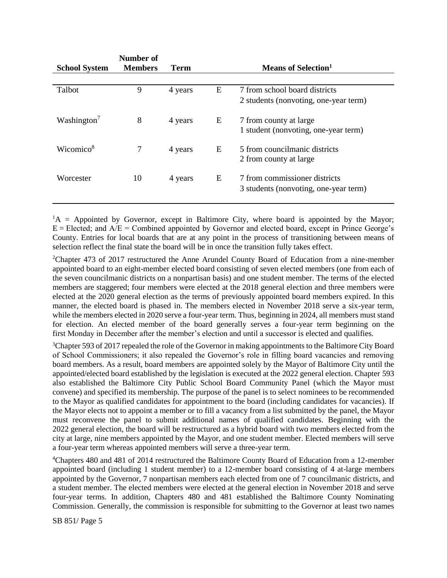| <b>School System</b>    | Number of<br><b>Members</b> | <b>Term</b> |   | Means of Selection <sup>1</sup>       |
|-------------------------|-----------------------------|-------------|---|---------------------------------------|
|                         |                             |             |   |                                       |
| Talbot                  | 9                           | 4 years     | E | 7 from school board districts         |
|                         |                             |             |   | 2 students (nonvoting, one-year term) |
| Washington <sup>7</sup> | 8                           | 4 years     | Ε | 7 from county at large                |
|                         |                             |             |   | 1 student (nonvoting, one-year term)  |
| Wicomico <sup>8</sup>   | 7                           | 4 years     | E | 5 from councilmanic districts         |
|                         |                             |             |   | 2 from county at large                |
| Worcester               | 10                          | 4 years     | E | 7 from commissioner districts         |
|                         |                             |             |   | 3 students (nonvoting, one-year term) |
|                         |                             |             |   |                                       |

 ${}^{1}A$  = Appointed by Governor, except in Baltimore City, where board is appointed by the Mayor;  $E = E$ lected; and  $A/E =$  Combined appointed by Governor and elected board, except in Prince George's County. Entries for local boards that are at any point in the process of transitioning between means of selection reflect the final state the board will be in once the transition fully takes effect.

<sup>2</sup>Chapter 473 of 2017 restructured the Anne Arundel County Board of Education from a nine-member appointed board to an eight-member elected board consisting of seven elected members (one from each of the seven councilmanic districts on a nonpartisan basis) and one student member. The terms of the elected members are staggered; four members were elected at the 2018 general election and three members were elected at the 2020 general election as the terms of previously appointed board members expired. In this manner, the elected board is phased in. The members elected in November 2018 serve a six-year term, while the members elected in 2020 serve a four-year term. Thus, beginning in 2024, all members must stand for election. An elected member of the board generally serves a four-year term beginning on the first Monday in December after the member's election and until a successor is elected and qualifies.

<sup>3</sup>Chapter 593 of 2017 repealed the role of the Governor in making appointments to the Baltimore City Board of School Commissioners; it also repealed the Governor's role in filling board vacancies and removing board members. As a result, board members are appointed solely by the Mayor of Baltimore City until the appointed/elected board established by the legislation is executed at the 2022 general election. Chapter 593 also established the Baltimore City Public School Board Community Panel (which the Mayor must convene) and specified its membership. The purpose of the panel is to select nominees to be recommended to the Mayor as qualified candidates for appointment to the board (including candidates for vacancies). If the Mayor elects not to appoint a member or to fill a vacancy from a list submitted by the panel, the Mayor must reconvene the panel to submit additional names of qualified candidates. Beginning with the 2022 general election, the board will be restructured as a hybrid board with two members elected from the city at large, nine members appointed by the Mayor, and one student member. Elected members will serve a four-year term whereas appointed members will serve a three-year term.

<sup>4</sup>Chapters 480 and 481 of 2014 restructured the Baltimore County Board of Education from a 12-member appointed board (including 1 student member) to a 12-member board consisting of 4 at-large members appointed by the Governor, 7 nonpartisan members each elected from one of 7 councilmanic districts, and a student member. The elected members were elected at the general election in November 2018 and serve four-year terms. In addition, Chapters 480 and 481 established the Baltimore County Nominating Commission. Generally, the commission is responsible for submitting to the Governor at least two names

SB 851/ Page 5